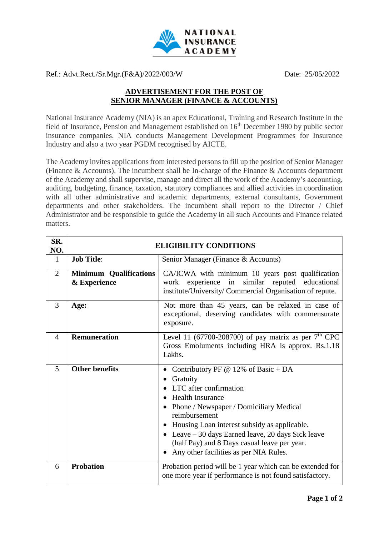

Ref.: Advt.Rect./Sr.Mgr.(F&A)/2022/003/W Date: 25/05/2022

## **ADVERTISEMENT FOR THE POST OF SENIOR MANAGER (FINANCE & ACCOUNTS)**

National Insurance Academy (NIA) is an apex Educational, Training and Research Institute in the field of Insurance, Pension and Management established on 16<sup>th</sup> December 1980 by public sector insurance companies. NIA conducts Management Development Programmes for Insurance Industry and also a two year PGDM recognised by AICTE.

The Academy invites applications from interested persons to fill up the position of Senior Manager (Finance & Accounts). The incumbent shall be In-charge of the Finance & Accounts department of the Academy and shall supervise, manage and direct all the work of the Academy's accounting, auditing, budgeting, finance, taxation, statutory compliances and allied activities in coordination with all other administrative and academic departments, external consultants, Government departments and other stakeholders. The incumbent shall report to the Director / Chief Administrator and be responsible to guide the Academy in all such Accounts and Finance related matters.

| SR.<br>NO.     | <b>ELIGIBILITY CONDITIONS</b>                 |                                                                                                                                                                                                                                                                                                                                                                                   |
|----------------|-----------------------------------------------|-----------------------------------------------------------------------------------------------------------------------------------------------------------------------------------------------------------------------------------------------------------------------------------------------------------------------------------------------------------------------------------|
| 1              | <b>Job Title:</b>                             | Senior Manager (Finance & Accounts)                                                                                                                                                                                                                                                                                                                                               |
| 2              | <b>Minimum Qualifications</b><br>& Experience | CA/ICWA with minimum 10 years post qualification<br>work experience in similar reputed educational<br>institute/University/ Commercial Organisation of repute.                                                                                                                                                                                                                    |
| $\overline{3}$ | Age:                                          | Not more than 45 years, can be relaxed in case of<br>exceptional, deserving candidates with commensurate<br>exposure.                                                                                                                                                                                                                                                             |
| $\overline{4}$ | <b>Remuneration</b>                           | Level 11 (67700-208700) of pay matrix as per $7th$ CPC<br>Gross Emoluments including HRA is approx. Rs.1.18<br>Lakhs.                                                                                                                                                                                                                                                             |
| 5              | <b>Other benefits</b>                         | Contributory PF $@ 12\%$ of Basic + DA<br>Gratuity<br>LTC after confirmation<br><b>Health Insurance</b><br>Phone / Newspaper / Domiciliary Medical<br>reimbursement<br>Housing Loan interest subsidy as applicable.<br>$\bullet$<br>• Leave $-30$ days Earned leave, 20 days Sick leave<br>(half Pay) and 8 Days casual leave per year.<br>Any other facilities as per NIA Rules. |
| 6              | <b>Probation</b>                              | Probation period will be 1 year which can be extended for<br>one more year if performance is not found satisfactory.                                                                                                                                                                                                                                                              |